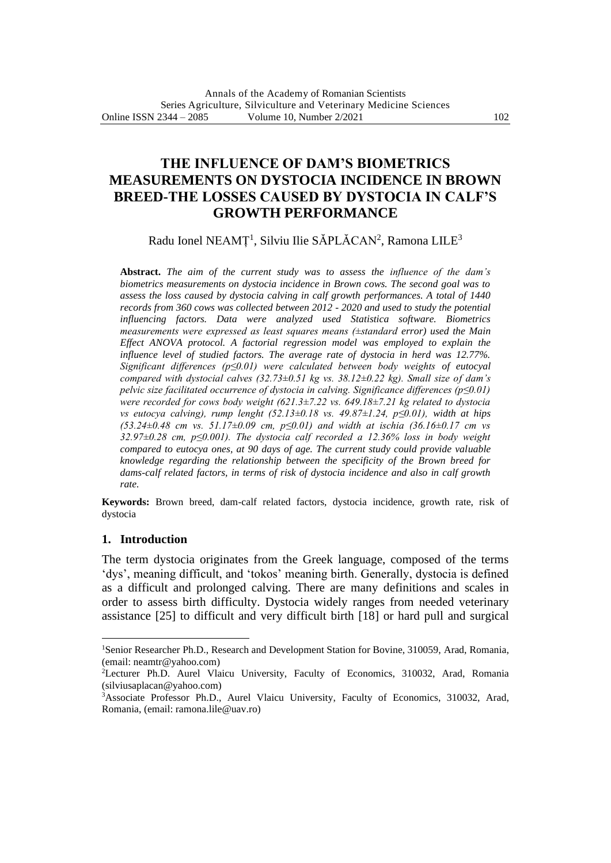# **THE INFLUENCE OF DAM'S BIOMETRICS MEASUREMENTS ON DYSTOCIA INCIDENCE IN BROWN BREED-THE LOSSES CAUSED BY DYSTOCIA IN CALF'S GROWTH PERFORMANCE**

Radu Ionel NEAMȚ<sup>1</sup>, Silviu Ilie SĂPLĂCAN<sup>2</sup>, Ramona LILE<sup>3</sup>

**Abstract.** *The aim of the current study was to assess the influence of the dam's biometrics measurements on dystocia incidence in Brown cows. The second goal was to assess the loss caused by dystocia calving in calf growth performances. A total of 1440 records from 360 cows was collected between 2012 - 2020 and used to study the potential influencing factors. Data were analyzed used Statistica software. Biometrics measurements were expressed as least squares means (±standard error) used the Main Effect ANOVA protocol. A factorial regression model was employed to explain the influence level of studied factors. The average rate of dystocia in herd was 12.77%. Significant differences (p≤0.01) were calculated between body weights of eutocyal compared with dystocial calves (32.73±0.51 kg vs. 38.12±0.22 kg). Small size of dam's pelvic size facilitated occurrence of dystocia in calving. Significance differences (p≤0.01) were recorded for cows body weight (621.3±7.22 vs. 649.18±7.21 kg related to dystocia vs eutocya calving), rump lenght (52.13±0.18 vs. 49.87±1.24, p≤0.01), width at hips (53.24±0.48 cm vs. 51.17±0.09 cm, p≤0.01) and width at ischia (36.16±0.17 cm vs 32.97±0.28 cm, p≤0.001). The dystocia calf recorded a 12.36% loss in body weight compared to eutocya ones, at 90 days of age. The current study could provide valuable knowledge regarding the relationship between the specificity of the Brown breed for dams-calf related factors, in terms of risk of dystocia incidence and also in calf growth rate.*

**Keywords:** Brown breed, dam-calf related factors, dystocia incidence, growth rate, risk of dystocia

## **1. Introduction**

The term dystocia originates from the Greek language, composed of the terms 'dys', meaning difficult, and 'tokos' meaning birth. Generally, dystocia is defined as a difficult and prolonged calving. There are many definitions and scales in order to assess birth difficulty. Dystocia widely ranges from needed veterinary assistance [25] to difficult and very difficult birth [18] or hard pull and surgical

<sup>&</sup>lt;sup>1</sup>Senior Researcher Ph.D., Research and Development Station for Bovine, 310059, Arad, Romania, (email: neamtr@yahoo.com)

<sup>2</sup>Lecturer Ph.D. Aurel Vlaicu University, Faculty of Economics, 310032, Arad, Romania [\(silviusaplacan@yahoo.com\)](mailto:silviusaplacan@yahoo.com)

<sup>3</sup>Associate Professor Ph.D., Aurel Vlaicu University, Faculty of Economics, 310032, Arad, Romania, (email: ramona.lile@uav.ro)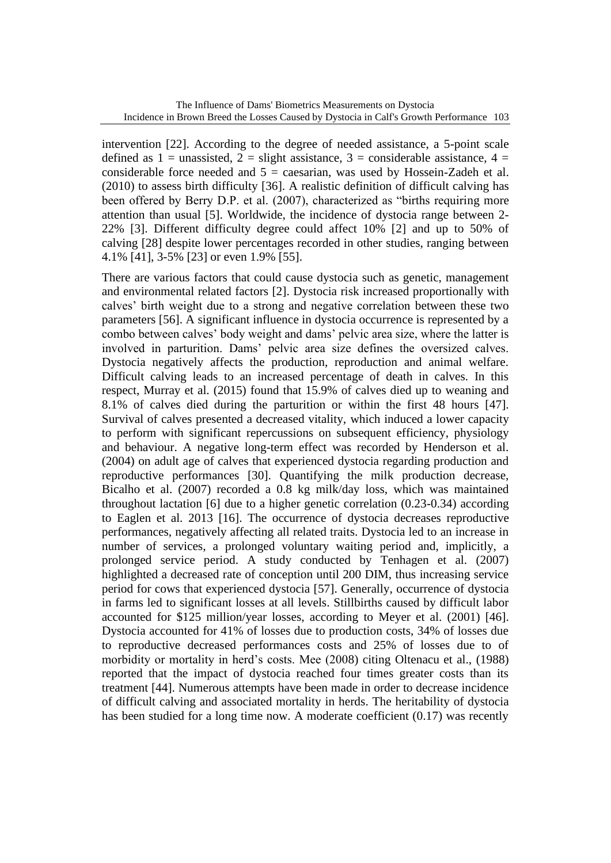intervention [22]. According to the degree of needed assistance, a 5-point scale defined as  $1 =$  unassisted,  $2 =$  slight assistance,  $3 =$  considerable assistance,  $4 =$ considerable force needed and  $5 =$  caesarian, was used by Hossein-Zadeh et al. (2010) to assess birth difficulty [36]. A realistic definition of difficult calving has been offered by Berry D.P. et al. (2007), characterized as "births requiring more attention than usual [5]. Worldwide, the incidence of dystocia range between 2- 22% [3]. Different difficulty degree could affect 10% [2] and up to 50% of calving [28] despite lower percentages recorded in other studies, ranging between 4.1% [41], 3-5% [23] or even 1.9% [55].

There are various factors that could cause dystocia such as genetic, management and environmental related factors [2]. Dystocia risk increased proportionally with calves' birth weight due to a strong and negative correlation between these two parameters [56]. A significant influence in dystocia occurrence is represented by a combo between calves' body weight and dams' pelvic area size, where the latter is involved in parturition. Dams' pelvic area size defines the oversized calves. Dystocia negatively affects the production, reproduction and animal welfare. Difficult calving leads to an increased percentage of death in calves. In this respect, Murray et al. (2015) found that 15.9% of calves died up to weaning and 8.1% of calves died during the parturition or within the first 48 hours [47]. Survival of calves presented a decreased vitality, which induced a lower capacity to perform with significant repercussions on subsequent efficiency, physiology and behaviour. A negative long-term effect was recorded by Henderson et al. (2004) on adult age of calves that experienced dystocia regarding production and reproductive performances [30]. Quantifying the milk production decrease, Bicalho et al. (2007) recorded a 0.8 kg milk/day loss, which was maintained throughout lactation [6] due to a higher genetic correlation (0.23-0.34) according to Eaglen et al. 2013 [16]. The occurrence of dystocia decreases reproductive performances, negatively affecting all related traits. Dystocia led to an increase in number of services, a prolonged voluntary waiting period and, implicitly, a prolonged service period. A study conducted by Tenhagen et al. (2007) highlighted a decreased rate of conception until 200 DIM, thus increasing service period for cows that experienced dystocia [57]. Generally, occurrence of dystocia in farms led to significant losses at all levels. Stillbirths caused by difficult labor accounted for \$125 million/year losses, according to Meyer et al. (2001) [46]. Dystocia accounted for 41% of losses due to production costs, 34% of losses due to reproductive decreased performances costs and 25% of losses due to of morbidity or mortality in herd's costs. Mee (2008) citing Oltenacu et al., (1988) reported that the impact of dystocia reached four times greater costs than its treatment [44]. Numerous attempts have been made in order to decrease incidence of difficult calving and associated mortality in herds. The heritability of dystocia has been studied for a long time now. A moderate coefficient (0.17) was recently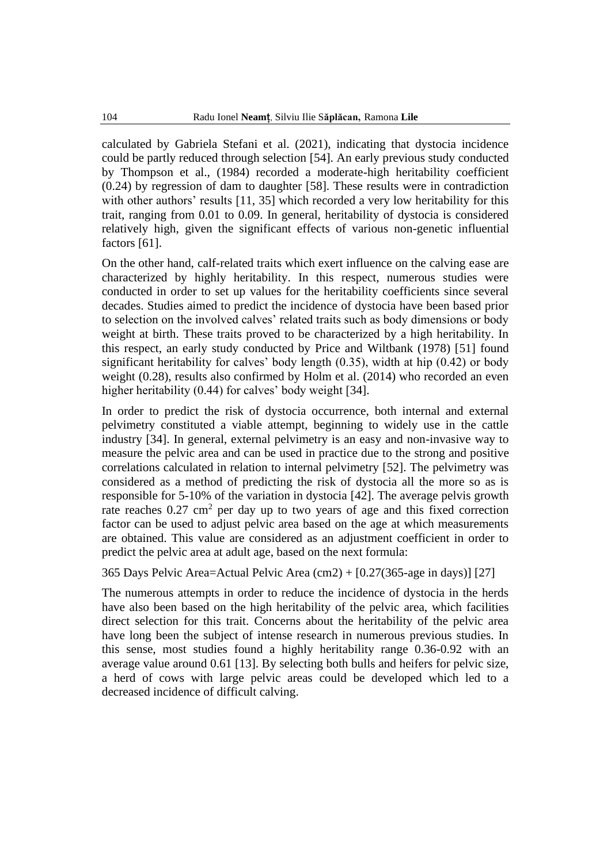calculated by Gabriela Stefani et al. (2021), indicating that dystocia incidence could be partly reduced through selection [54]. An early previous study conducted by Thompson et al., (1984) recorded a moderate-high heritability coefficient (0.24) by regression of dam to daughter [58]. These results were in contradiction with other authors' results [11, 35] which recorded a very low heritability for this trait, ranging from 0.01 to 0.09. In general, heritability of dystocia is considered relatively high, given the significant effects of various non-genetic influential factors [61].

On the other hand, calf-related traits which exert influence on the calving ease are characterized by highly heritability. In this respect, numerous studies were conducted in order to set up values for the heritability coefficients since several decades. Studies aimed to predict the incidence of dystocia have been based prior to selection on the involved calves' related traits such as body dimensions or body weight at birth. These traits proved to be characterized by a high heritability. In this respect, an early study conducted by Price and Wiltbank (1978) [51] found significant heritability for calves' body length (0.35), width at hip (0.42) or body weight (0.28), results also confirmed by Holm et al. (2014) who recorded an even higher heritability (0.44) for calves' body weight [34].

In order to predict the risk of dystocia occurrence, both internal and external pelvimetry constituted a viable attempt, beginning to widely use in the cattle industry [34]. In general, external pelvimetry is an easy and non-invasive way to measure the pelvic area and can be used in practice due to the strong and positive correlations calculated in relation to internal pelvimetry [52]. The pelvimetry was considered as a method of predicting the risk of dystocia all the more so as is responsible for 5-10% of the variation in dystocia [42]. The average pelvis growth rate reaches  $0.27 \text{ cm}^2$  per day up to two years of age and this fixed correction factor can be used to adjust pelvic area based on the age at which measurements are obtained. This value are considered as an adjustment coefficient in order to predict the pelvic area at adult age, based on the next formula:

365 Days Pelvic Area=Actual Pelvic Area (cm2) + [0.27(365-age in days)] [27]

The numerous attempts in order to reduce the incidence of dystocia in the herds have also been based on the high heritability of the pelvic area, which facilities direct selection for this trait. Concerns about the heritability of the pelvic area have long been the subject of intense research in numerous previous studies. In this sense, most studies found a highly heritability range 0.36-0.92 with an average value around 0.61 [13]. By selecting both bulls and heifers for pelvic size, a herd of cows with large pelvic areas could be developed which led to a decreased incidence of difficult calving.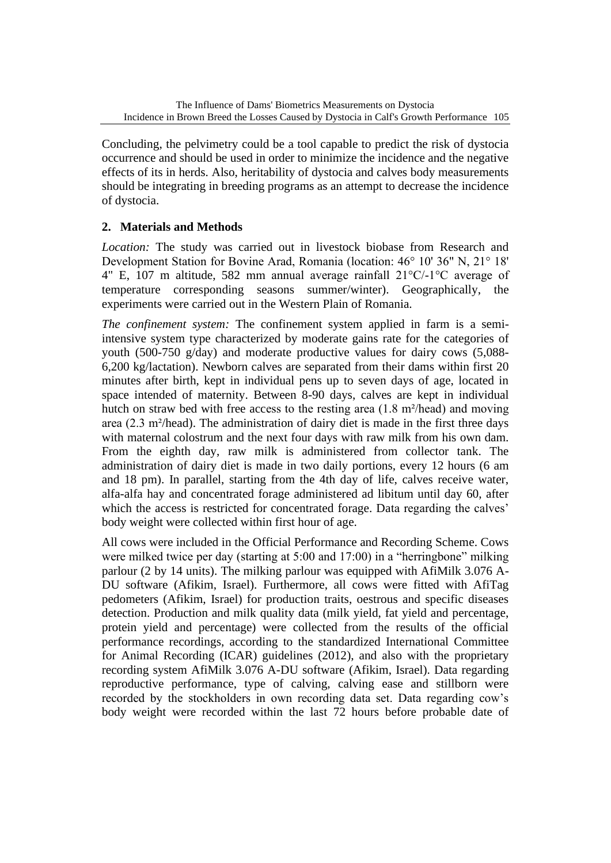Concluding, the pelvimetry could be a tool capable to predict the risk of dystocia occurrence and should be used in order to minimize the incidence and the negative effects of its in herds. Also, heritability of dystocia and calves body measurements should be integrating in breeding programs as an attempt to decrease the incidence of dystocia.

## **2. Materials and Methods**

*Location:* The study was carried out in livestock biobase from Research and Development Station for Bovine Arad, Romania (location: 46° 10' 36" N, 21° 18' 4" E, 107 m altitude, 582 mm annual average rainfall 21°C/-1°C average of temperature corresponding seasons summer/winter). Geographically, the experiments were carried out in the Western Plain of Romania.

*The confinement system:* The confinement system applied in farm is a semiintensive system type characterized by moderate gains rate for the categories of youth (500-750 g/day) and moderate productive values for dairy cows (5,088- 6,200 kg/lactation). Newborn calves are separated from their dams within first 20 minutes after birth, kept in individual pens up to seven days of age, located in space intended of maternity. Between 8-90 days, calves are kept in individual hutch on straw bed with free access to the resting area (1.8 m²/head) and moving area (2.3 m²/head). The administration of dairy diet is made in the first three days with maternal colostrum and the next four days with raw milk from his own dam. From the eighth day, raw milk is administered from collector tank. The administration of dairy diet is made in two daily portions, every 12 hours (6 am and 18 pm). In parallel, starting from the 4th day of life, calves receive water, alfa-alfa hay and concentrated forage administered ad libitum until day 60, after which the access is restricted for concentrated forage. Data regarding the calves' body weight were collected within first hour of age.

All cows were included in the Official Performance and Recording Scheme. Cows were milked twice per day (starting at 5:00 and 17:00) in a "herringbone" milking parlour (2 by 14 units). The milking parlour was equipped with AfiMilk 3.076 A-DU software (Afikim, Israel). Furthermore, all cows were fitted with AfiTag pedometers (Afikim, Israel) for production traits, oestrous and specific diseases detection. Production and milk quality data (milk yield, fat yield and percentage, protein yield and percentage) were collected from the results of the official performance recordings, according to the standardized International Committee for Animal Recording (ICAR) guidelines (2012), and also with the proprietary recording system AfiMilk 3.076 A-DU software (Afikim, Israel). Data regarding reproductive performance, type of calving, calving ease and stillborn were recorded by the stockholders in own recording data set. Data regarding cow's body weight were recorded within the last 72 hours before probable date of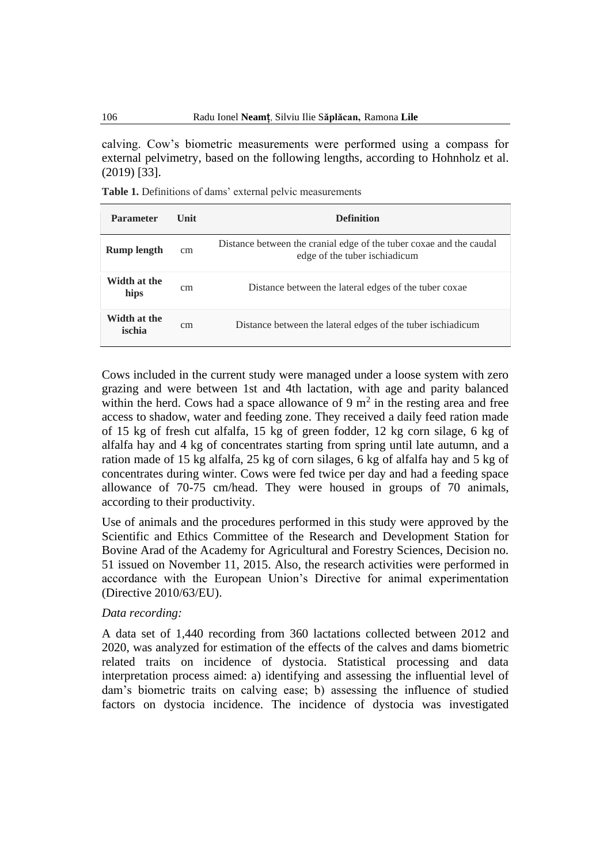calving. Cow's biometric measurements were performed using a compass for external pelvimetry, based on the following lengths, according to Hohnholz et al. (2019) [33].

Table 1. Definitions of dams' external pelvic measurements

| <b>Parameter</b>       | <b>Unit</b> | <b>Definition</b>                                                                                     |
|------------------------|-------------|-------------------------------------------------------------------------------------------------------|
| <b>Rump length</b>     | cm          | Distance between the cranial edge of the tuber coxae and the caudal<br>edge of the tuber is chiadicum |
| Width at the<br>hips   | cm          | Distance between the lateral edges of the tuber coxae                                                 |
| Width at the<br>ischia | cm          | Distance between the lateral edges of the tuber is chiadicum                                          |

Cows included in the current study were managed under a loose system with zero grazing and were between 1st and 4th lactation, with age and parity balanced within the herd. Cows had a space allowance of 9  $m<sup>2</sup>$  in the resting area and free access to shadow, water and feeding zone. They received a daily feed ration made of 15 kg of fresh cut alfalfa, 15 kg of green fodder, 12 kg corn silage, 6 kg of alfalfa hay and 4 kg of concentrates starting from spring until late autumn, and a ration made of 15 kg alfalfa, 25 kg of corn silages, 6 kg of alfalfa hay and 5 kg of concentrates during winter. Cows were fed twice per day and had a feeding space allowance of 70-75 cm/head. They were housed in groups of 70 animals, according to their productivity.

Use of animals and the procedures performed in this study were approved by the Scientific and Ethics Committee of the Research and Development Station for Bovine Arad of the Academy for Agricultural and Forestry Sciences, Decision no. 51 issued on November 11, 2015. Also, the research activities were performed in accordance with the European Union's Directive for animal experimentation (Directive 2010/63/EU).

#### *Data recording:*

A data set of 1,440 recording from 360 lactations collected between 2012 and 2020, was analyzed for estimation of the effects of the calves and dams biometric related traits on incidence of dystocia. Statistical processing and data interpretation process aimed: a) identifying and assessing the influential level of dam's biometric traits on calving ease; b) assessing the influence of studied factors on dystocia incidence. The incidence of dystocia was investigated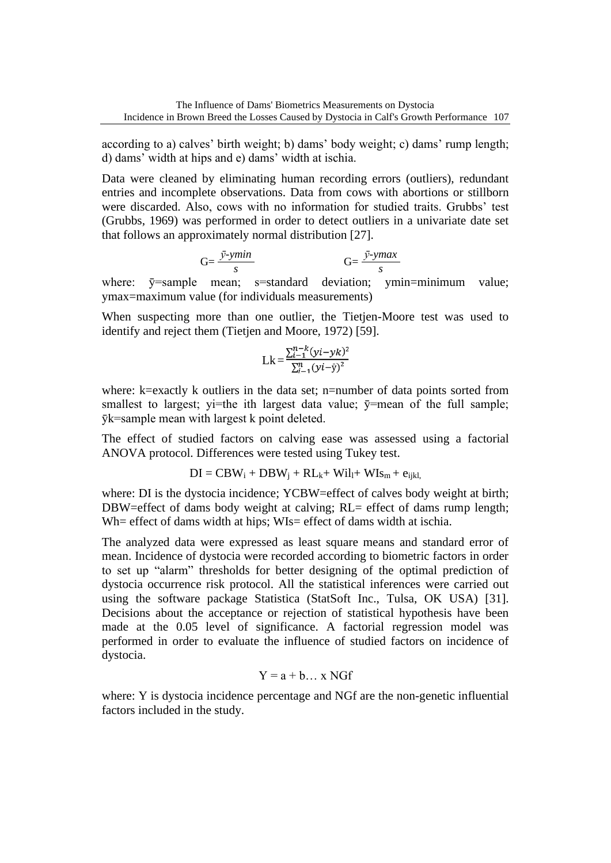according to a) calves' birth weight; b) dams' body weight; c) dams' rump length; d) dams' width at hips and e) dams' width at ischia.

Data were cleaned by eliminating human recording errors (outliers), redundant entries and incomplete observations. Data from cows with abortions or stillborn were discarded. Also, cows with no information for studied traits. Grubbs' test (Grubbs, 1969) was performed in order to detect outliers in a univariate date set that follows an approximately normal distribution [27].

$$
G = \frac{\bar{y} - ymin}{s} \qquad \qquad G = \frac{\bar{y} - ymax}{s}
$$

where:  $\bar{y}$ =sample mean; s=standard deviation; ymin=minimum value; ymax=maximum value (for individuals measurements)

When suspecting more than one outlier, the Tietjen-Moore test was used to identify and reject them (Tietjen and Moore, 1972) [59].

$$
Lk = \frac{\sum_{i=1}^{n-k} (yi - yk)^2}{\sum_{i=1}^{n} (yi - \bar{y})^2}
$$

where: k=exactly k outliers in the data set; n=number of data points sorted from smallest to largest; yi=the ith largest data value;  $\bar{y}$ =mean of the full sample; ȳk=sample mean with largest k point deleted.

The effect of studied factors on calving ease was assessed using a factorial ANOVA protocol. Differences were tested using Tukey test.

$$
DI = CBW_i + DBW_j + RL_k + Wil_l + WIs_m + e_{ijkl},
$$

where: DI is the dystocia incidence; YCBW=effect of calves body weight at birth; DBW=effect of dams body weight at calving; RL= effect of dams rump length; Wh= effect of dams width at hips; WIs= effect of dams width at ischia.

The analyzed data were expressed as least square means and standard error of mean. Incidence of dystocia were recorded according to biometric factors in order to set up "alarm" thresholds for better designing of the optimal prediction of dystocia occurrence risk protocol. All the statistical inferences were carried out using the software package Statistica (StatSoft Inc., Tulsa, OK USA) [31]. Decisions about the acceptance or rejection of statistical hypothesis have been made at the 0.05 level of significance. A factorial regression model was performed in order to evaluate the influence of studied factors on incidence of dystocia.

$$
Y = a + b \dots x \text{ NGf}
$$

where: Y is dystocia incidence percentage and NGf are the non-genetic influential factors included in the study.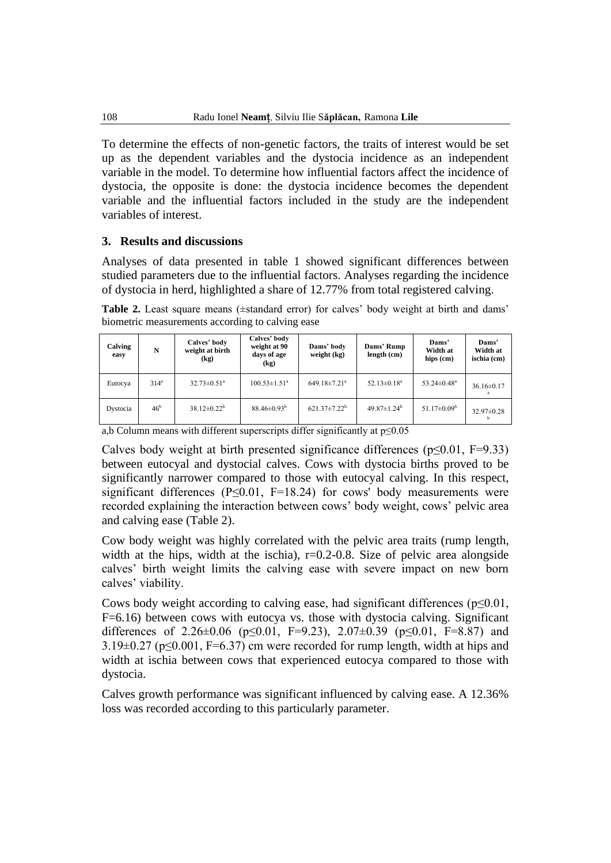To determine the effects of non-genetic factors, the traits of interest would be set up as the dependent variables and the dystocia incidence as an independent variable in the model. To determine how influential factors affect the incidence of dystocia, the opposite is done: the dystocia incidence becomes the dependent variable and the influential factors included in the study are the independent variables of interest.

### **3. Results and discussions**

Analyses of data presented in table 1 showed significant differences between studied parameters due to the influential factors. Analyses regarding the incidence of dystocia in herd, highlighted a share of 12.77% from total registered calving.

Table 2. Least square means ( $\pm$ standard error) for calves' body weight at birth and dams' biometric measurements according to calving ease

| Calving<br>easy | N                | Calves' body<br>weight at birth<br>$\left(\mathbf{kg}\right)$ | Calves' body<br>weight at 90<br>days of age<br>(kg) | Dams' body<br>weight (kg) | Dams' Rump<br>length (cm)     | Dams'<br>Width at<br>hips (cm) | Dams'<br>Width at<br>ischia (cm) |
|-----------------|------------------|---------------------------------------------------------------|-----------------------------------------------------|---------------------------|-------------------------------|--------------------------------|----------------------------------|
| Eutocya         | 314 <sup>a</sup> | $32.73 \pm 0.51$ <sup>a</sup>                                 | $100.53 \pm 1.51$ <sup>a</sup>                      | 649.18±7.21 <sup>a</sup>  | $52.13 \pm 0.18$ <sup>a</sup> | $53.24 \pm 0.48$ <sup>a</sup>  | $36.16 \pm 0.17$                 |
| Dystocia        | 46 <sup>b</sup>  | $38.12 \pm 0.22^b$                                            | $88.46 \pm 0.93^b$                                  | $621.37 \pm 7.22^b$       | $49.87 \pm 1.24^b$            | $51.17 \pm 0.09^{\rm b}$       | $32.97 \pm 0.28$                 |

a,b Column means with different superscripts differ significantly at p≤0.05

Calves body weight at birth presented significance differences ( $p \le 0.01$ , F=9.33) between eutocyal and dystocial calves. Cows with dystocia births proved to be significantly narrower compared to those with eutocyal calving. In this respect, significant differences ( $P \le 0.01$ ,  $F = 18.24$ ) for cows' body measurements were recorded explaining the interaction between cows' body weight, cows' pelvic area and calving ease (Table 2).

Cow body weight was highly correlated with the pelvic area traits (rump length, width at the hips, width at the ischia),  $r=0.2-0.8$ . Size of pelvic area alongside calves' birth weight limits the calving ease with severe impact on new born calves' viability.

Cows body weight according to calving ease, had significant differences ( $p \le 0.01$ , F=6.16) between cows with eutocya vs. those with dystocia calving. Significant differences of 2.26±0.06 (p≤0.01, F=9.23), 2.07±0.39 (p≤0.01, F=8.87) and  $3.19\pm0.27$  (p $\leq$ 0.001, F=6.37) cm were recorded for rump length, width at hips and width at ischia between cows that experienced eutocya compared to those with dystocia.

Calves growth performance was significant influenced by calving ease. A 12.36% loss was recorded according to this particularly parameter.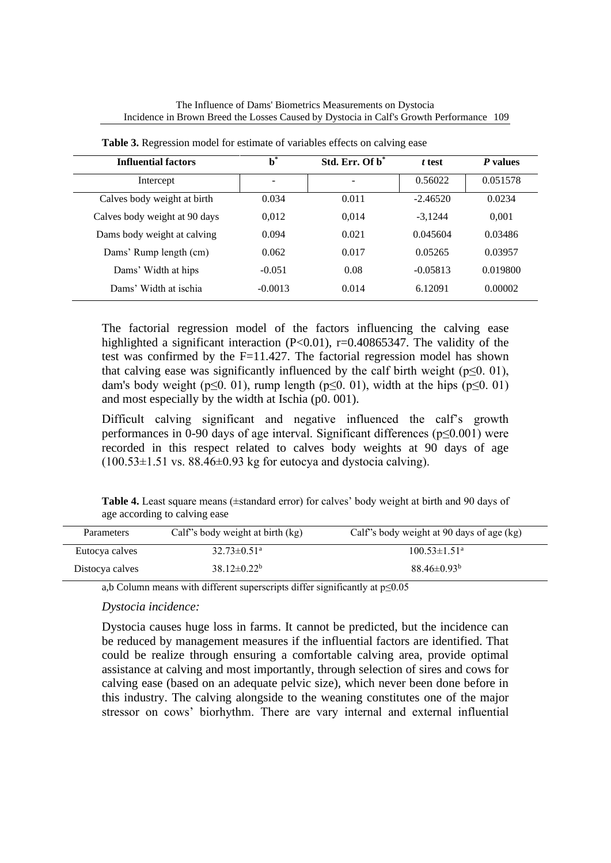| <b>Influential factors</b>    | $\mathbf{b}^*$ | Std. Err. Of $b^*$       | t test     | P values |
|-------------------------------|----------------|--------------------------|------------|----------|
| Intercept                     | -              | $\overline{\phantom{a}}$ | 0.56022    | 0.051578 |
| Calves body weight at birth   | 0.034          | 0.011                    | $-2.46520$ | 0.0234   |
| Calves body weight at 90 days | 0,012          | 0.014                    | $-3.1244$  | 0,001    |
| Dams body weight at calving   | 0.094          | 0.021                    | 0.045604   | 0.03486  |
| Dams' Rump length (cm)        | 0.062          | 0.017                    | 0.05265    | 0.03957  |
| Dams' Width at hips           | $-0.051$       | 0.08                     | $-0.05813$ | 0.019800 |
| Dams' Width at ischia         | $-0.0013$      | 0.014                    | 6.12091    | 0.00002  |

**Table 3.** Regression model for estimate of variables effects on calving ease

The factorial regression model of the factors influencing the calving ease highlighted a significant interaction (P<0.01), r=0.40865347. The validity of the test was confirmed by the  $F=11.427$ . The factorial regression model has shown that calving ease was significantly influenced by the calf birth weight ( $p \le 0.01$ ), dam's body weight (p≤0. 01), rump length (p≤0. 01), width at the hips (p≤0. 01) and most especially by the width at Ischia (p0. 001).

Difficult calving significant and negative influenced the calf's growth performances in 0-90 days of age interval. Significant differences (p≤0.001) were recorded in this respect related to calves body weights at 90 days of age  $(100.53\pm1.51 \text{ vs. } 88.46\pm0.93 \text{ kg}$  for eutocya and dystocia calving).

**Table 4.** Least square means (±standard error) for calves' body weight at birth and 90 days of age according to calving ease

| Parameters      | Calf's body weight at birth (kg) | Calf's body weight at 90 days of age (kg) |
|-----------------|----------------------------------|-------------------------------------------|
| Eutocya calves  | $32.73 \pm 0.51$ <sup>a</sup>    | $100.53 \pm 1.51$ <sup>a</sup>            |
| Distocya calves | $38.12\pm0.22^b$                 | $88.46 \pm 0.93^b$                        |

a,b Column means with different superscripts differ significantly at p≤0.05

## *Dystocia incidence:*

Dystocia causes huge loss in farms. It cannot be predicted, but the incidence can be reduced by management measures if the influential factors are identified. That could be realize through ensuring a comfortable calving area, provide optimal assistance at calving and most importantly, through selection of sires and cows for calving ease (based on an adequate pelvic size), which never been done before in this industry. The calving alongside to the weaning constitutes one of the major stressor on cows' biorhythm. There are vary internal and external influential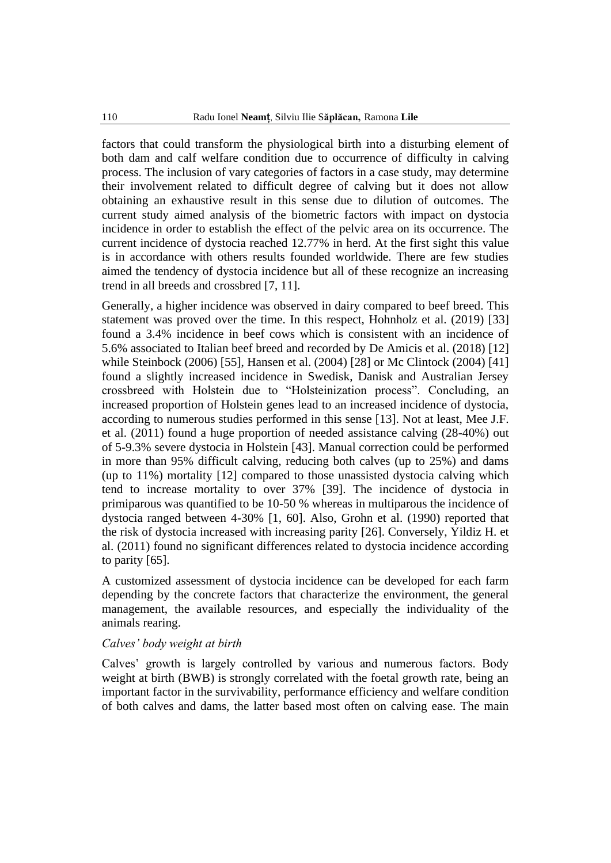factors that could transform the physiological birth into a disturbing element of both dam and calf welfare condition due to occurrence of difficulty in calving process. The inclusion of vary categories of factors in a case study, may determine their involvement related to difficult degree of calving but it does not allow obtaining an exhaustive result in this sense due to dilution of outcomes. The current study aimed analysis of the biometric factors with impact on dystocia incidence in order to establish the effect of the pelvic area on its occurrence. The current incidence of dystocia reached 12.77% in herd. At the first sight this value is in accordance with others results founded worldwide. There are few studies aimed the tendency of dystocia incidence but all of these recognize an increasing trend in all breeds and crossbred [7, 11].

Generally, a higher incidence was observed in dairy compared to beef breed. This statement was proved over the time. In this respect, Hohnholz et al. (2019) [33] found a 3.4% incidence in beef cows which is consistent with an incidence of 5.6% associated to Italian beef breed and recorded by De Amicis et al. (2018) [12] while Steinbock (2006) [55], Hansen et al. (2004) [28] or Mc Clintock (2004) [41] found a slightly increased incidence in Swedisk, Danisk and Australian Jersey crossbreed with Holstein due to "Holsteinization process". Concluding, an increased proportion of Holstein genes lead to an increased incidence of dystocia, according to numerous studies performed in this sense [13]. Not at least, Mee J.F. et al. (2011) found a huge proportion of needed assistance calving (28-40%) out of 5-9.3% severe dystocia in Holstein [43]. Manual correction could be performed in more than 95% difficult calving, reducing both calves (up to 25%) and dams (up to 11%) mortality [12] compared to those unassisted dystocia calving which tend to increase mortality to over 37% [39]. The incidence of dystocia in primiparous was quantified to be 10-50 % whereas in multiparous the incidence of dystocia ranged between 4-30% [1, 60]. Also, Grohn et al. (1990) reported that the risk of dystocia increased with increasing parity [26]. Conversely, Yildiz H. et al. (2011) found no significant differences related to dystocia incidence according to parity [65].

A customized assessment of dystocia incidence can be developed for each farm depending by the concrete factors that characterize the environment, the general management, the available resources, and especially the individuality of the animals rearing.

#### *Calves' body weight at birth*

Calves' growth is largely controlled by various and numerous factors. Body weight at birth (BWB) is strongly correlated with the foetal growth rate, being an important factor in the survivability, performance efficiency and welfare condition of both calves and dams, the latter based most often on calving ease. The main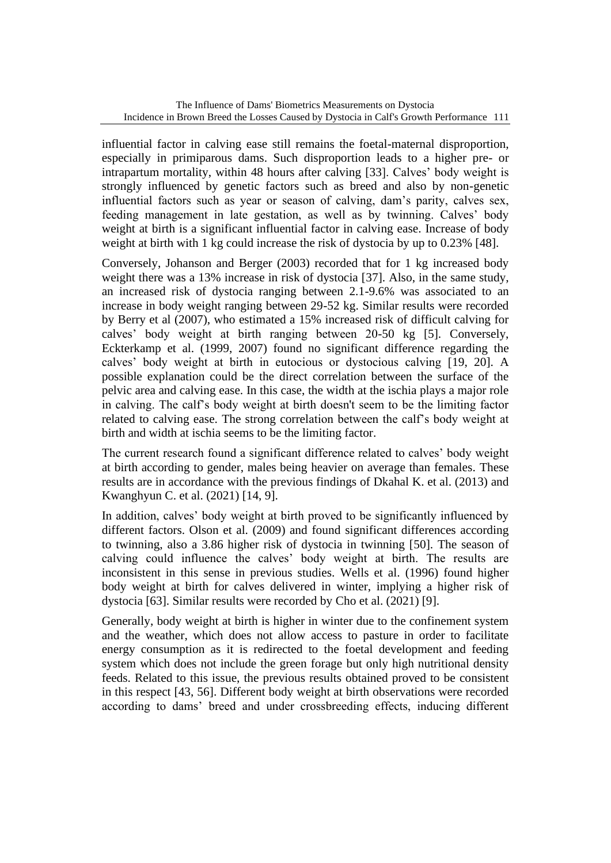influential factor in calving ease still remains the foetal-maternal disproportion, especially in primiparous dams. Such disproportion leads to a higher pre- or intrapartum mortality, within 48 hours after calving [33]. Calves' body weight is strongly influenced by genetic factors such as breed and also by non-genetic influential factors such as year or season of calving, dam's parity, calves sex, feeding management in late gestation, as well as by twinning. Calves' body weight at birth is a significant influential factor in calving ease. Increase of body weight at birth with 1 kg could increase the risk of dystocia by up to 0.23% [48].

Conversely, Johanson and Berger (2003) recorded that for 1 kg increased body weight there was a 13% increase in risk of dystocia [37]. Also, in the same study, an increased risk of dystocia ranging between 2.1-9.6% was associated to an increase in body weight ranging between 29-52 kg. Similar results were recorded by Berry et al (2007), who estimated a 15% increased risk of difficult calving for calves' body weight at birth ranging between 20-50 kg [5]. Conversely, Eckterkamp et al. (1999, 2007) found no significant difference regarding the calves' body weight at birth in eutocious or dystocious calving [19, 20]. A possible explanation could be the direct correlation between the surface of the pelvic area and calving ease. In this case, the width at the ischia plays a major role in calving. The calf's body weight at birth doesn't seem to be the limiting factor related to calving ease. The strong correlation between the calf's body weight at birth and width at ischia seems to be the limiting factor.

The current research found a significant difference related to calves' body weight at birth according to gender, males being heavier on average than females. These results are in accordance with the previous findings of Dkahal K. et al. (2013) and Kwanghyun C. et al. (2021) [14, 9].

In addition, calves' body weight at birth proved to be significantly influenced by different factors. Olson et al. (2009) and found significant differences according to twinning, also a 3.86 higher risk of dystocia in twinning [50]. The season of calving could influence the calves' body weight at birth. The results are inconsistent in this sense in previous studies. Wells et al. (1996) found higher body weight at birth for calves delivered in winter, implying a higher risk of dystocia [63]. Similar results were recorded by Cho et al. (2021) [9].

Generally, body weight at birth is higher in winter due to the confinement system and the weather, which does not allow access to pasture in order to facilitate energy consumption as it is redirected to the foetal development and feeding system which does not include the green forage but only high nutritional density feeds. Related to this issue, the previous results obtained proved to be consistent in this respect [43, 56]. Different body weight at birth observations were recorded according to dams' breed and under crossbreeding effects, inducing different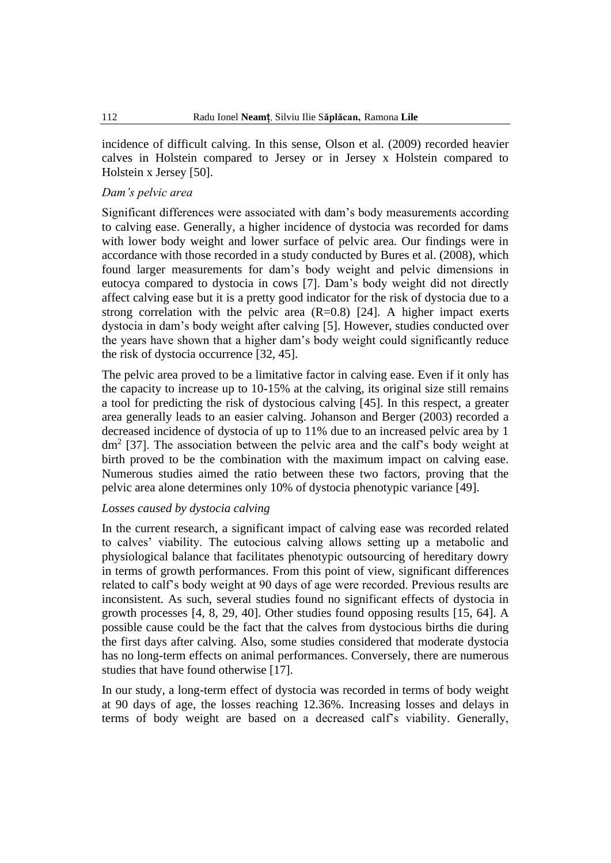incidence of difficult calving. In this sense, Olson et al. (2009) recorded heavier calves in Holstein compared to Jersey or in Jersey x Holstein compared to Holstein x Jersey [50].

#### *Dam's pelvic area*

Significant differences were associated with dam's body measurements according to calving ease. Generally, a higher incidence of dystocia was recorded for dams with lower body weight and lower surface of pelvic area. Our findings were in accordance with those recorded in a study conducted by Bures et al. (2008), which found larger measurements for dam's body weight and pelvic dimensions in eutocya compared to dystocia in cows [7]. Dam's body weight did not directly affect calving ease but it is a pretty good indicator for the risk of dystocia due to a strong correlation with the pelvic area  $(R=0.8)$  [24]. A higher impact exerts dystocia in dam's body weight after calving [5]. However, studies conducted over the years have shown that a higher dam's body weight could significantly reduce the risk of dystocia occurrence [32, 45].

The pelvic area proved to be a limitative factor in calving ease. Even if it only has the capacity to increase up to 10-15% at the calving, its original size still remains a tool for predicting the risk of dystocious calving [45]. In this respect, a greater area generally leads to an easier calving. Johanson and Berger (2003) recorded a decreased incidence of dystocia of up to 11% due to an increased pelvic area by 1  $dm<sup>2</sup>$  [37]. The association between the pelvic area and the calf's body weight at birth proved to be the combination with the maximum impact on calving ease. Numerous studies aimed the ratio between these two factors, proving that the pelvic area alone determines only 10% of dystocia phenotypic variance [49].

#### *Losses caused by dystocia calving*

In the current research, a significant impact of calving ease was recorded related to calves' viability. The eutocious calving allows setting up a metabolic and physiological balance that facilitates phenotypic outsourcing of hereditary dowry in terms of growth performances. From this point of view, significant differences related to calf's body weight at 90 days of age were recorded. Previous results are inconsistent. As such, several studies found no significant effects of dystocia in growth processes [4, 8, 29, 40]. Other studies found opposing results [15, 64]. A possible cause could be the fact that the calves from dystocious births die during the first days after calving. Also, some studies considered that moderate dystocia has no long-term effects on animal performances. Conversely, there are numerous studies that have found otherwise [17].

In our study, a long-term effect of dystocia was recorded in terms of body weight at 90 days of age, the losses reaching 12.36%. Increasing losses and delays in terms of body weight are based on a decreased calf's viability. Generally,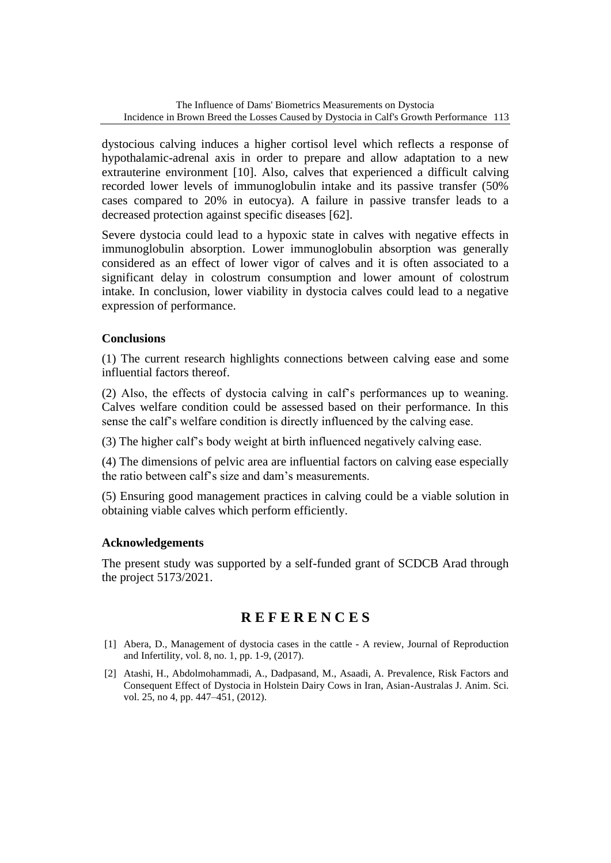dystocious calving induces a higher cortisol level which reflects a response of hypothalamic-adrenal axis in order to prepare and allow adaptation to a new extrauterine environment [10]. Also, calves that experienced a difficult calving recorded lower levels of immunoglobulin intake and its passive transfer (50% cases compared to 20% in eutocya). A failure in passive transfer leads to a decreased protection against specific diseases [62].

Severe dystocia could lead to a hypoxic state in calves with negative effects in immunoglobulin absorption. Lower immunoglobulin absorption was generally considered as an effect of lower vigor of calves and it is often associated to a significant delay in colostrum consumption and lower amount of colostrum intake. In conclusion, lower viability in dystocia calves could lead to a negative expression of performance.

## **Conclusions**

(1) The current research highlights connections between calving ease and some influential factors thereof.

(2) Also, the effects of dystocia calving in calf's performances up to weaning. Calves welfare condition could be assessed based on their performance. In this sense the calf's welfare condition is directly influenced by the calving ease.

(3) The higher calf's body weight at birth influenced negatively calving ease.

(4) The dimensions of pelvic area are influential factors on calving ease especially the ratio between calf's size and dam's measurements.

(5) Ensuring good management practices in calving could be a viable solution in obtaining viable calves which perform efficiently.

## **Acknowledgements**

The present study was supported by a self-funded grant of SCDCB Arad through the project 5173/2021.

# **R E F E R E N C E S**

- [1] Abera, D., Management of dystocia cases in the cattle A review, Journal of Reproduction and Infertility, vol. 8, no. 1, pp. 1-9, (2017).
- [2] Atashi, H., Abdolmohammadi, A., Dadpasand, M., Asaadi, A. Prevalence, Risk Factors and Consequent Effect of Dystocia in Holstein Dairy Cows in Iran, Asian-Australas J. Anim. Sci. vol. 25, no 4, pp. 447–451, (2012).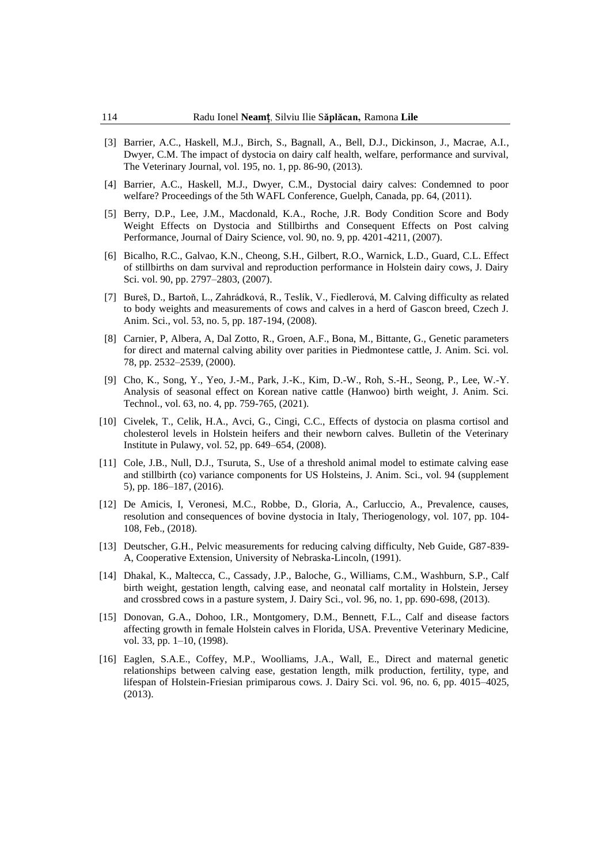- [3] Barrier, A.C., Haskell, M.J., Birch, S., Bagnall, A., Bell, D.J., Dickinson, J., Macrae, A.I., Dwyer, C.M. The impact of dystocia on dairy calf health, welfare, performance and survival, The Veterinary Journal, vol. 195, no. 1, pp. 86-90, (2013).
- [4] Barrier, A.C., Haskell, M.J., Dwyer, C.M., Dystocial dairy calves: Condemned to poor welfare? Proceedings of the 5th WAFL Conference, Guelph, Canada, pp. 64, (2011).
- [5] Berry, D.P., Lee, J.M., Macdonald, K.A., Roche, J.R. Body Condition Score and Body Weight Effects on Dystocia and Stillbirths and Consequent Effects on Post calving Performance, Journal of Dairy Science, vol. 90, no. 9, pp. 4201-4211, (2007).
- [6] Bicalho, R.C., Galvao, K.N., Cheong, S.H., Gilbert, R.O., Warnick, L.D., Guard, C.L. Effect of stillbirths on dam survival and reproduction performance in Holstein dairy cows, J. Dairy Sci. vol. 90, pp. 2797–2803, (2007).
- [7] Bureš, D., Bartoň, L., Zahrádková, R., Teslík, V., Fiedlerová, M. Calving difficulty as related to body weights and measurements of cows and calves in a herd of Gascon breed, Czech J. Anim. Sci., vol. 53, no. 5, pp. 187-194, (2008).
- [8] Carnier, P, Albera, A, Dal Zotto, R., Groen, A.F., Bona, M., Bittante, G., Genetic parameters for direct and maternal calving ability over parities in Piedmontese cattle, J. Anim. Sci. vol. 78, pp. 2532–2539, (2000).
- [9] Cho, K., Song, Y., Yeo, J.-M., Park, J.-K., Kim, D.-W., Roh, S.-H., Seong, P., Lee, W.-Y. Analysis of seasonal effect on Korean native cattle (Hanwoo) birth weight, J. Anim. Sci. Technol., vol. 63, no. 4, pp. 759-765, (2021).
- [10] Civelek, T., Celik, H.A., Avci, G., Cingi, C.C., Effects of dystocia on plasma cortisol and cholesterol levels in Holstein heifers and their newborn calves. Bulletin of the Veterinary Institute in Pulawy, vol. 52, pp. 649–654, (2008).
- [11] Cole, J.B., Null, D.J., Tsuruta, S., Use of a threshold animal model to estimate calving ease and stillbirth (co) variance components for US Holsteins, J. Anim. Sci., vol. 94 (supplement 5), pp. 186–187, (2016).
- [12] De Amicis, I, Veronesi, M.C., Robbe, D., Gloria, A., Carluccio, A., Prevalence, causes, resolution and consequences of bovine dystocia in Italy, Theriogenology, vol. 107, pp. 104- 108, Feb., (2018).
- [13] Deutscher, G.H., Pelvic measurements for reducing calving difficulty, Neb Guide, G87-839- A, Cooperative Extension, University of Nebraska-Lincoln, (1991).
- [14] Dhakal, K., Maltecca, C., Cassady, J.P., Baloche, G., Williams, C.M., Washburn, S.P., Calf birth weight, gestation length, calving ease, and neonatal calf mortality in Holstein, Jersey and crossbred cows in a pasture system, J. Dairy Sci., vol. 96, no. 1, pp. 690-698, (2013).
- [15] Donovan, G.A., Dohoo, I.R., Montgomery, D.M., Bennett, F.L., Calf and disease factors affecting growth in female Holstein calves in Florida, USA. Preventive Veterinary Medicine, vol. 33, pp. 1–10, (1998).
- [16] Eaglen, S.A.E., Coffey, M.P., Woolliams, J.A., Wall, E., Direct and maternal genetic relationships between calving ease, gestation length, milk production, fertility, type, and lifespan of Holstein-Friesian primiparous cows. J. Dairy Sci. vol. 96, no. 6, pp. 4015–4025, (2013).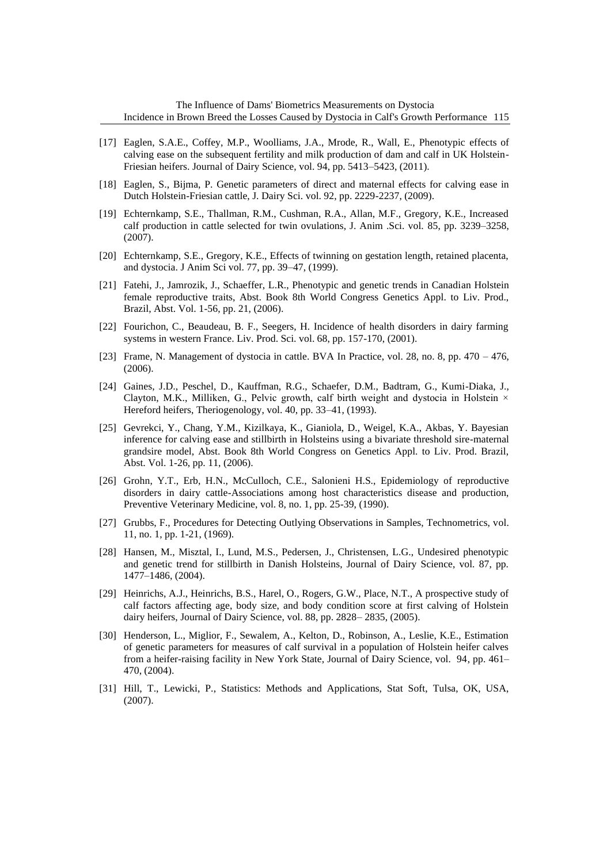- [17] Eaglen, S.A.E., Coffey, M.P., Woolliams, J.A., Mrode, R., Wall, E., Phenotypic effects of calving ease on the subsequent fertility and milk production of dam and calf in UK Holstein-Friesian heifers. Journal of Dairy Science, vol. 94, pp. 5413–5423, (2011).
- [18] Eaglen, S., Bijma, P. Genetic parameters of direct and maternal effects for calving ease in Dutch Holstein-Friesian cattle, J. Dairy Sci. vol. 92, pp. 2229-2237, (2009).
- [19] Echternkamp, S.E., Thallman, R.M., Cushman, R.A., Allan, M.F., Gregory, K.E., Increased calf production in cattle selected for twin ovulations, J. Anim .Sci. vol. 85, pp. 3239–3258, (2007).
- [20] Echternkamp, S.E., Gregory, K.E., Effects of twinning on gestation length, retained placenta, and dystocia. J Anim Sci vol. 77, pp. 39–47, (1999).
- [21] Fatehi, J., Jamrozik, J., Schaeffer, L.R., Phenotypic and genetic trends in Canadian Holstein female reproductive traits, Abst. Book 8th World Congress Genetics Appl. to Liv. Prod., Brazil, Abst. Vol. 1-56, pp. 21, (2006).
- [22] Fourichon, C., Beaudeau, B. F., Seegers, H. Incidence of health disorders in dairy farming systems in western France. Liv. Prod. Sci. vol. 68, pp. 157-170, (2001).
- [23] Frame, N. Management of dystocia in cattle. BVA In Practice, vol. 28, no. 8, pp. 470 476, (2006).
- [24] Gaines, J.D., Peschel, D., Kauffman, R.G., Schaefer, D.M., Badtram, G., Kumi-Diaka, J., Clayton, M.K., Milliken, G., Pelvic growth, calf birth weight and dystocia in Holstein × Hereford heifers, Theriogenology, vol. 40, pp. 33–41, (1993).
- [25] Gevrekci, Y., Chang, Y.M., Kizilkaya, K., Gianiola, D., Weigel, K.A., Akbas, Y. Bayesian inference for calving ease and stillbirth in Holsteins using a bivariate threshold sire-maternal grandsire model, Abst. Book 8th World Congress on Genetics Appl. to Liv. Prod. Brazil, Abst. Vol. 1-26, pp. 11, (2006).
- [26] Grohn, Y.T., Erb, H.N., McCulloch, C.E., Salonieni H.S., Epidemiology of reproductive disorders in dairy cattle-Associations among host characteristics disease and production, Preventive Veterinary Medicine, vol. 8, no. 1, pp. 25-39, (1990).
- [27] Grubbs, F., Procedures for Detecting Outlying Observations in Samples, Technometrics, vol. 11, no. 1, pp. 1-21, (1969).
- [28] Hansen, M., Misztal, I., Lund, M.S., Pedersen, J., Christensen, L.G., Undesired phenotypic and genetic trend for stillbirth in Danish Holsteins, Journal of Dairy Science, vol. 87, pp. 1477–1486, (2004).
- [29] Heinrichs, A.J., Heinrichs, B.S., Harel, O., Rogers, G.W., Place, N.T., A prospective study of calf factors affecting age, body size, and body condition score at first calving of Holstein dairy heifers, Journal of Dairy Science, vol. 88, pp. 2828– 2835, (2005).
- [30] Henderson, L., Miglior, F., Sewalem, A., Kelton, D., Robinson, A., Leslie, K.E., Estimation of genetic parameters for measures of calf survival in a population of Holstein heifer calves from a heifer-raising facility in New York State, Journal of Dairy Science, vol. 94, pp. 461– 470, (2004).
- [31] Hill, T., Lewicki, P., Statistics: Methods and Applications, Stat Soft, Tulsa, OK, USA, (2007).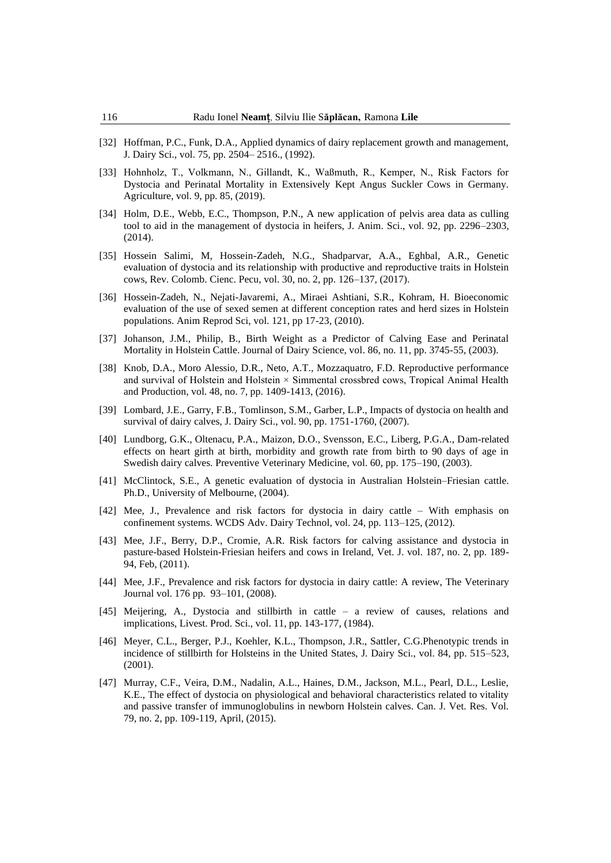- [32] Hoffman, P.C., Funk, D.A., Applied dynamics of dairy replacement growth and management, J. Dairy Sci., vol. 75, pp. 2504– 2516., (1992).
- [33] Hohnholz, T., Volkmann, N., Gillandt, K., Waßmuth, R., Kemper, N., Risk Factors for Dystocia and Perinatal Mortality in Extensively Kept Angus Suckler Cows in Germany. Agriculture, vol. 9, pp. 85, (2019).
- [34] Holm, D.E., Webb, E.C., Thompson, P.N., A new application of pelvis area data as culling tool to aid in the management of dystocia in heifers, J. Anim. Sci., vol. 92, pp. 2296–2303, (2014).
- [35] Hossein Salimi, M, Hossein-Zadeh, N.G., Shadparvar, A.A., Eghbal, A.R., Genetic evaluation of dystocia and its relationship with productive and reproductive traits in Holstein cows, Rev. Colomb. Cienc. Pecu, vol. 30, no. 2, pp. 126–137, (2017).
- [36] Hossein-Zadeh, N., Nejati-Javaremi, A., Miraei Ashtiani, S.R., Kohram, H. Bioeconomic evaluation of the use of sexed semen at different conception rates and herd sizes in Holstein populations. Anim Reprod Sci, vol. 121, pp 17-23, (2010).
- [37] Johanson, J.M., Philip, B., Birth Weight as a Predictor of Calving Ease and Perinatal Mortality in Holstein Cattle. Journal of Dairy Science, vol. 86, no. 11, pp. 3745-55, (2003).
- [38] Knob, D.A., Moro Alessio, D.R., Neto, A.T., Mozzaquatro, F.D. Reproductive performance and survival of Holstein and Holstein × Simmental crossbred cows, Tropical Animal Health and Production, vol. 48, no. 7, pp. 1409-1413, (2016).
- [39] Lombard, J.E., Garry, F.B., Tomlinson, S.M., Garber, L.P., Impacts of dystocia on health and survival of dairy calves, J. Dairy Sci., vol. 90, pp. 1751-1760, (2007).
- [40] Lundborg, G.K., Oltenacu, P.A., Maizon, D.O., Svensson, E.C., Liberg, P.G.A., Dam-related effects on heart girth at birth, morbidity and growth rate from birth to 90 days of age in Swedish dairy calves. Preventive Veterinary Medicine, vol. 60, pp. 175–190, (2003).
- [41] McClintock, S.E., A genetic evaluation of dystocia in Australian Holstein–Friesian cattle. Ph.D., University of Melbourne, (2004).
- [42] Mee, J., Prevalence and risk factors for dystocia in dairy cattle With emphasis on confinement systems. WCDS Adv. Dairy Technol, vol. 24, pp. 113–125, (2012).
- [43] Mee, J.F., Berry, D.P., Cromie, A.R. Risk factors for calving assistance and dystocia in pasture-based Holstein-Friesian heifers and cows in Ireland, Vet. J. vol. 187, no. 2, pp. 189- 94, Feb, (2011).
- [44] Mee, J.F., Prevalence and risk factors for dystocia in dairy cattle: A review, The Veterinary Journal vol. 176 pp. 93–101, (2008).
- [45] Meijering, A., Dystocia and stillbirth in cattle a review of causes, relations and implications, Livest. Prod. Sci., vol. 11, pp. 143-177, (1984).
- [46] Meyer, C.L., Berger, P.J., Koehler, K.L., Thompson, J.R., Sattler, C.G.Phenotypic trends in incidence of stillbirth for Holsteins in the United States, J. Dairy Sci., vol. 84, pp. 515–523, (2001).
- [47] Murray, C.F., Veira, D.M., Nadalin, A.L., Haines, D.M., Jackson, M.L., Pearl, D.L., Leslie, K.E., The effect of dystocia on physiological and behavioral characteristics related to vitality and passive transfer of immunoglobulins in newborn Holstein calves. Can. J. Vet. Res. Vol. 79, no. 2, pp. 109-119, April, (2015).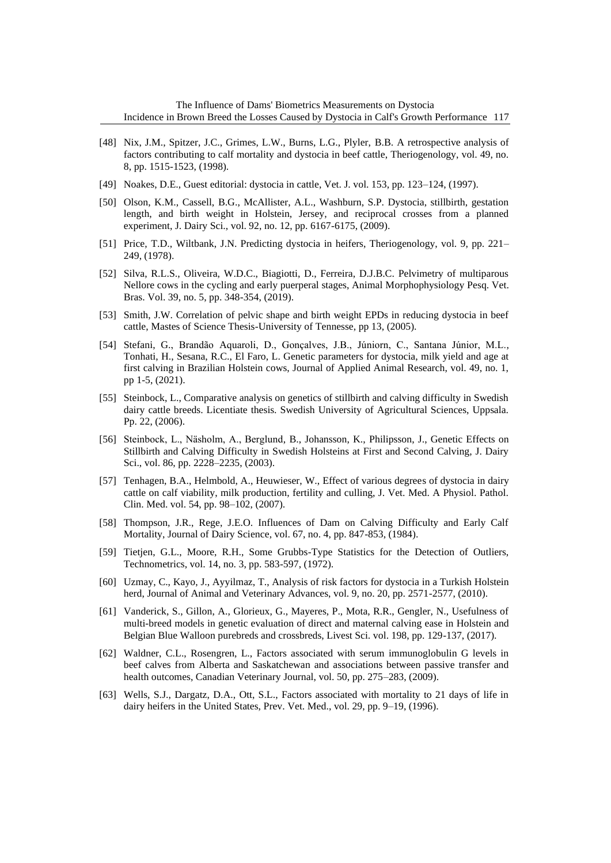- [48] Nix, J.M., Spitzer, J.C., Grimes, L.W., Burns, L.G., Plyler, B.B. A retrospective analysis of factors contributing to calf mortality and dystocia in beef cattle, Theriogenology, vol. 49, no. 8, pp. 1515-1523, (1998).
- [49] Noakes, D.E., Guest editorial: dystocia in cattle, Vet. J. vol. 153, pp. 123-124, (1997).
- [50] Olson, K.M., Cassell, B.G., McAllister, A.L., Washburn, S.P. Dystocia, stillbirth, gestation length, and birth weight in Holstein, Jersey, and reciprocal crosses from a planned experiment, J. Dairy Sci., vol. 92, no. 12, pp. 6167-6175, (2009).
- [51] Price, T.D., Wiltbank, J.N. Predicting dystocia in heifers, Theriogenology, vol. 9, pp. 221– 249, (1978).
- [52] Silva, R.L.S., Oliveira, W.D.C., Biagiotti, D., Ferreira, D.J.B.C. Pelvimetry of multiparous Nellore cows in the cycling and early puerperal stages, Animal Morphophysiology Pesq. Vet. Bras. Vol. 39, no. 5, pp. 348-354, (2019).
- [53] Smith, J.W. Correlation of pelvic shape and birth weight EPDs in reducing dystocia in beef cattle, Mastes of Science Thesis-University of Tennesse, pp 13, (2005).
- [54] Stefani, G., Brandão Aquaroli, D., Gonçalves, J.B., Júniorn, C., Santana Júnior, M.L., Tonhati, H., Sesana, R.C., El Faro, L. Genetic parameters for dystocia, milk yield and age at first calving in Brazilian Holstein cows, Journal of Applied Animal Research, vol. 49, no. 1, pp 1-5, (2021).
- [55] Steinbock, L., Comparative analysis on genetics of stillbirth and calving difficulty in Swedish dairy cattle breeds. Licentiate thesis. Swedish University of Agricultural Sciences, Uppsala. Pp. 22, (2006).
- [56] Steinbock, L., Näsholm, A., Berglund, B., Johansson, K., Philipsson, J., Genetic Effects on Stillbirth and Calving Difficulty in Swedish Holsteins at First and Second Calving, J. Dairy Sci., vol. 86, pp. 2228–2235, (2003).
- [57] Tenhagen, B.A., Helmbold, A., Heuwieser, W., Effect of various degrees of dystocia in dairy cattle on calf viability, milk production, fertility and culling, J. Vet. Med. A Physiol. Pathol. Clin. Med. vol. 54, pp. 98–102, (2007).
- [58] Thompson, J.R., Rege, J.E.O. Influences of Dam on Calving Difficulty and Early Calf Mortality, Journal of Dairy Science, vol. 67, no. 4, pp. 847-853, (1984).
- [59] Tietjen, G.L., Moore, R.H., Some Grubbs-Type Statistics for the Detection of Outliers, Technometrics, vol. 14, no. 3, pp. 583-597, (1972).
- [60] Uzmay, C., Kayo, J., Ayyilmaz, T., Analysis of risk factors for dystocia in a Turkish Holstein herd, Journal of Animal and Veterinary Advances, vol. 9, no. 20, pp. 2571-2577, (2010).
- [61] Vanderick, S., Gillon, A., Glorieux, G., Mayeres, P., Mota, R.R., Gengler, N., Usefulness of multi-breed models in genetic evaluation of direct and maternal calving ease in Holstein and Belgian Blue Walloon purebreds and crossbreds, Livest Sci. vol. 198, pp. 129-137, (2017).
- [62] Waldner, C.L., Rosengren, L., Factors associated with serum immunoglobulin G levels in beef calves from Alberta and Saskatchewan and associations between passive transfer and health outcomes, Canadian Veterinary Journal, vol. 50, pp. 275–283, (2009).
- [63] Wells, S.J., Dargatz, D.A., Ott, S.L., Factors associated with mortality to 21 days of life in dairy heifers in the United States, Prev. Vet. Med., vol. 29, pp. 9–19, (1996).